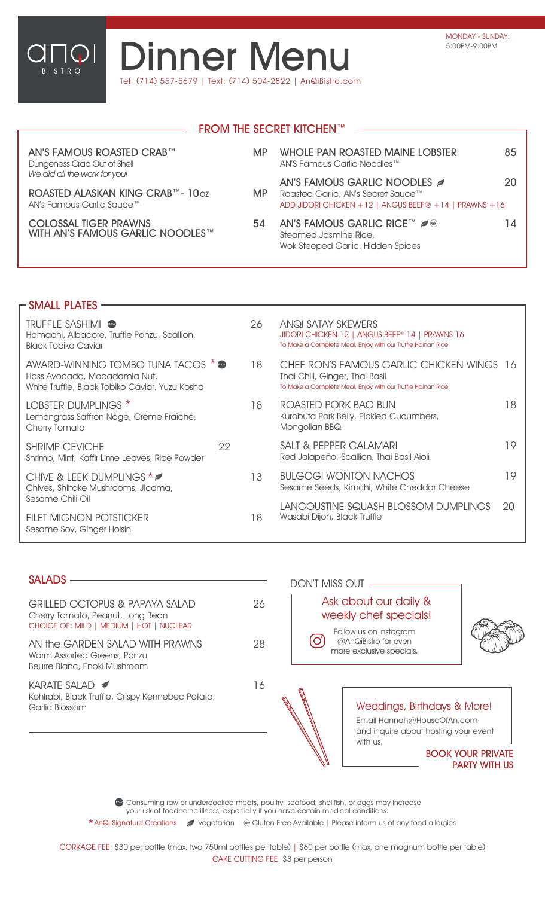

## **Dinner Menu** Tel: (714) 557-5679 | Text: (714) 504-2822 | AnQiBistro.com

|                                                                                               |           | <b>FROM THE SECRET KITCHEN™</b>                                                                                           |    |
|-----------------------------------------------------------------------------------------------|-----------|---------------------------------------------------------------------------------------------------------------------------|----|
|                                                                                               |           |                                                                                                                           |    |
| AN'S FAMOUS ROASTED CRAB™<br>Dungeness Crab Out of Shell                                      | <b>MP</b> | <b>WHOLE PAN ROASTED MAINE LOBSTER</b><br>AN'S Famous Garlic Noodles™                                                     | 85 |
| We did all the work for you!<br>ROASTED ALASKAN KING CRAB™- 10oz<br>AN's Famous Garlic Sauce™ | MP        | AN'S FAMOUS GARLIC NOODLES<br>Roasted Garlic, AN's Secret Sauce™<br>ADD JIDORI CHICKEN +12   ANGUS BEEF® +14   PRAWNS +16 | 20 |
| <b>COLOSSAL TIGER PRAWNS</b><br>WITH AN'S FAMOUS GARLIC NOODLES™                              | 54        | <b>AN'S FAMOUS GARLIC RICE™ 2 ®</b><br>Steamed Jasmine Rice,<br>Wok Steeped Garlic, Hidden Spices                         | 14 |

| - SMALL PLATES                                                                                                       |    |    |                                                                                                                                            |    |
|----------------------------------------------------------------------------------------------------------------------|----|----|--------------------------------------------------------------------------------------------------------------------------------------------|----|
| <b>TRUFFLE SASHIMI</b> $\bullet$<br>Hamachi, Albacore, Truffle Ponzu, Scallion,<br><b>Black Tobiko Caviar</b>        |    | 26 | ANQI SATAY SKEWERS<br>JIDORI CHICKEN 12   ANGUS BEEF® 14   PRAWNS 16<br>To Make a Complete Meal, Enjoy with our Truffle Hainan Rice        |    |
| AWARD-WINNING TOMBO TUNA TACOS * @<br>Hass Avocado, Macadamia Nut,<br>White Truffle, Black Tobiko Caviar, Yuzu Kosho |    | 18 | CHEF RON'S FAMOUS GARLIC CHICKEN WINGS 16<br>Thai Chili, Ginger, Thai Basil<br>To Make a Complete Meal, Enjoy with our Truffle Hainan Rice |    |
| <b>LOBSTER DUMPLINGS *</b><br>Lemongrass Saffron Nage, Crème Fraîche,<br>Cherry Tomato                               |    | 18 | ROASTED PORK BAO BUN<br>Kurobuta Pork Belly, Pickled Cucumbers,<br>Mongolian BBQ                                                           | 18 |
| <b>SHRIMP CEVICHE</b><br>Shrimp, Mint, Kaffir Lime Leaves, Rice Powder                                               | 22 |    | <b>SALT &amp; PEPPER CALAMARI</b><br>Red Jalapeño, Scallion, Thai Basil Aioli                                                              | 19 |
| CHIVE & LEEK DUMPLINGS * 2<br>Chives, Shiitake Mushrooms, Jicama,                                                    |    | 13 | <b>BULGOGI WONTON NACHOS</b><br>Sesame Seeds, Kimchi, White Cheddar Cheese                                                                 | 19 |
| <b>FILET MIGNON POTSTICKER</b><br>Sesame Soy, Ginger Hoisin                                                          |    | 18 | LANGOUSTINE SQUASH BLOSSOM DUMPLINGS<br>Wasabi Dijon, Black Truffle                                                                        | 20 |
| Sesame Chili Oil                                                                                                     |    |    |                                                                                                                                            |    |

## **SALADS**

| GRILLED OCTOPUS & PAPAYA SALAD<br>Cherry Tomato, Peanut, Long Bean<br>CHOICE OF: MILD   MEDIUM   HOT   NUCLEAR |    |
|----------------------------------------------------------------------------------------------------------------|----|
| AN the GARDEN SAI AD WITH PRAWNS<br>Warm Assorted Greens, Ponzu<br>Beurre Blanc, Enoki Mushroom                | 28 |
| KARATE SALAD $\approx$<br>Kohlrabi, Black Truffle, Crispy Kennebec Potato,<br>Garlic Blossom                   | 16 |
|                                                                                                                |    |



**Consuming raw or undercooked meats, poultry, seafood, shellfish, or eggs may increase** your risk of foodborne illness, especially if you have certain medical conditions.

\*AnQi Signature Creations / Vegetarian @ Gluten-Free Available | Please inform us of any food allergies

CORKAGE FEE: \$30 per bottle (max. two 750ml bottles per table) | \$60 per bottle (max. one magnum bottle per table) CAKE CUTTING FEE: \$3 per person